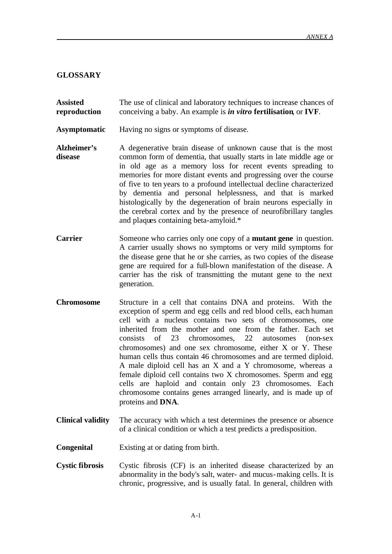## **GLOSSARY**

**Assisted reproduction** The use of clinical and laboratory techniques to increase chances of conceiving a baby. An example is *in vitro* **fertilisation**, or **IVF**.

- **Asymptomatic** Having no signs or symptoms of disease.
- **Alzheimer's disease** A degenerative brain disease of unknown cause that is the most common form of dementia, that usually starts in late middle age or in old age as a memory loss for recent events spreading to memories for more distant events and progressing over the course of five to ten years to a profound intellectual decline characterized by dementia and personal helplessness, and that is marked histologically by the degeneration of brain neurons especially in the cerebral cortex and by the presence of neurofibrillary tangles and plaques containing beta-amyloid.\*
- **Carrier** Someone who carries only one copy of a **mutant gene** in question. A carrier usually shows no symptoms or very mild symptoms for the disease gene that he or she carries, as two copies of the disease gene are required for a full-blown manifestation of the disease. A carrier has the risk of transmitting the mutant gene to the next generation.
- **Chromosome** Structure in a cell that contains DNA and proteins. With the exception of sperm and egg cells and red blood cells, each human cell with a nucleus contains two sets of chromosomes, one inherited from the mother and one from the father. Each set consists of 23 chromosomes, 22 autosomes (non-sex chromosomes) and one sex chromosome, either X or Y. These human cells thus contain 46 chromosomes and are termed diploid. A male diploid cell has an X and a Y chromosome, whereas a female diploid cell contains two X chromosomes. Sperm and egg cells are haploid and contain only 23 chromosomes. Each chromosome contains genes arranged linearly, and is made up of proteins and **DNA**.
- **Clinical validity** The accuracy with which a test determines the presence or absence of a clinical condition or which a test predicts a predisposition.
- **Congenital** Existing at or dating from birth.
- **Cystic fibrosis** Cystic fibrosis (CF) is an inherited disease characterized by an abnormality in the body's salt, water- and mucus-making cells. It is chronic, progressive, and is usually fatal. In general, children with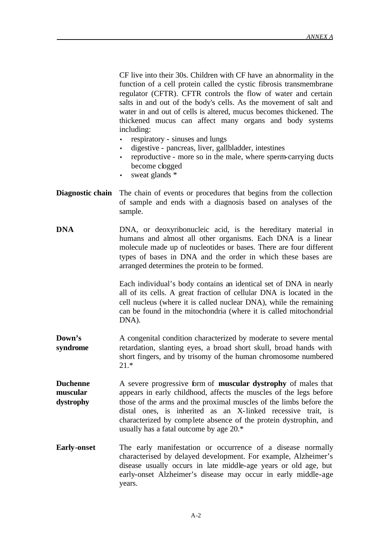CF live into their 30s. Children with CF have an abnormality in the function of a cell protein called the cystic fibrosis transmembrane regulator (CFTR). CFTR controls the flow of water and certain salts in and out of the body's cells. As the movement of salt and water in and out of cells is altered, mucus becomes thickened. The thickened mucus can affect many organs and body systems including:

- respiratory sinuses and lungs
- digestive pancreas, liver, gallbladder, intestines
- reproductive more so in the male, where sperm-carrying ducts become clogged
- sweat glands  $*$
- **Diagnostic chain** The chain of events or procedures that begins from the collection of sample and ends with a diagnosis based on analyses of the sample.
- **DNA** DNA, or deoxyribonucleic acid, is the hereditary material in humans and almost all other organisms. Each DNA is a linear molecule made up of nucleotides or bases. There are four different types of bases in DNA and the order in which these bases are arranged determines the protein to be formed.

Each individual's body contains an identical set of DNA in nearly all of its cells. A great fraction of cellular DNA is located in the cell nucleus (where it is called nuclear DNA), while the remaining can be found in the mitochondria (where it is called mitochondrial DNA).

- **Down's syndrome** A congenital condition characterized by moderate to severe mental retardation, slanting eyes, a broad short skull, broad hands with short fingers, and by trisomy of the human chromosome numbered 21.\*
- **Duchenne muscular dystrophy** A severe progressive form of **muscular dystrophy** of males that appears in early childhood, affects the muscles of the legs before those of the arms and the proximal muscles of the limbs before the distal ones, is inherited as an X-linked recessive trait, is characterized by complete absence of the protein dystrophin, and usually has a fatal outcome by age 20.\*
- **Early-onset** The early manifestation or occurrence of a disease normally characterised by delayed development. For example, Alzheimer's disease usually occurs in late middle-age years or old age, but early-onset Alzheimer's disease may occur in early middle-age years.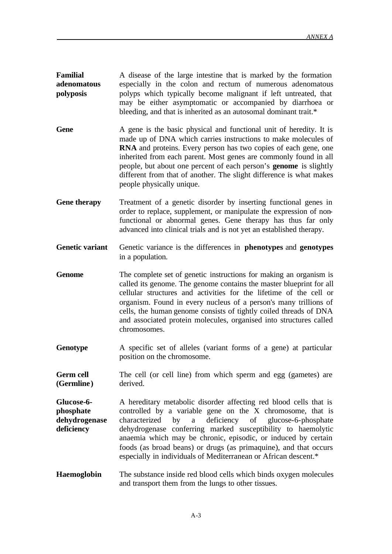**Familial adenomatous polyposis** A disease of the large intestine that is marked by the formation especially in the colon and rectum of numerous adenomatous polyps which typically become malignant if left untreated, that may be either asymptomatic or accompanied by diarrhoea or bleeding, and that is inherited as an autosomal dominant trait.\*

- Gene A gene is the basic physical and functional unit of heredity. It is made up of DNA which carries instructions to make molecules of **RNA** and proteins. Every person has two copies of each gene, one inherited from each parent. Most genes are commonly found in all people, but about one percent of each person's **genome** is slightly different from that of another. The slight difference is what makes people physically unique.
- **Gene therapy** Treatment of a genetic disorder by inserting functional genes in order to replace, supplement, or manipulate the expression of nonfunctional or abnormal genes. Gene therapy has thus far only advanced into clinical trials and is not yet an established therapy.
- **Genetic variant** Genetic variance is the differences in **phenotypes** and **genotypes** in a population.
- **Genome** The complete set of genetic instructions for making an organism is called its genome. The genome contains the master blueprint for all cellular structures and activities for the lifetime of the cell or organism. Found in every nucleus of a person's many trillions of cells, the human genome consists of tightly coiled threads of DNA and associated protein molecules, organised into structures called chromosomes.
- **Genotype** A specific set of alleles (variant forms of a gene) at particular position on the chromosome.
- **Germ cell (Germline)** The cell (or cell line) from which sperm and egg (gametes) are derived.
- **Glucose-6 phosphate dehydrogenase deficiency** A hereditary metabolic disorder affecting red blood cells that is controlled by a variable gene on the X chromosome, that is characterized by a deficiency of glucose-6-phosphate dehydrogenase conferring marked susceptibility to haemolytic anaemia which may be chronic, episodic, or induced by certain foods (as broad beans) or drugs (as primaquine), and that occurs especially in individuals of Mediterranean or African descent.\*
- **Haemoglobin** The substance inside red blood cells which binds oxygen molecules and transport them from the lungs to other tissues.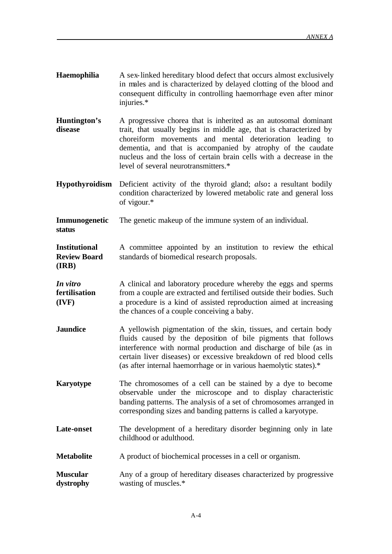- **Haemophilia** A sex-linked hereditary blood defect that occurs almost exclusively in males and is characterized by delayed clotting of the blood and consequent difficulty in controlling haemorrhage even after minor injuries.\*
- **Huntington's disease** A progressive chorea that is inherited as an autosomal dominant trait, that usually begins in middle age, that is characterized by choreiform movements and mental deterioration leading to dementia, and that is accompanied by atrophy of the caudate nucleus and the loss of certain brain cells with a decrease in the level of several neurotransmitters.\*
- **Hypothyroidism** Deficient activity of the thyroid gland; *also***:** a resultant bodily condition characterized by lowered metabolic rate and general loss of vigour.\*
- **Immunogenetic**  The genetic makeup of the immune system of an individual.

**status**

**Institutional Review Board (IRB)** A committee appointed by an institution to review the ethical standards of biomedical research proposals.

- *In vitro* **fertilisation (IVF)** A clinical and laboratory procedure whereby the eggs and sperms from a couple are extracted and fertilised outside their bodies. Such a procedure is a kind of assisted reproduction aimed at increasing the chances of a couple conceiving a baby.
- **Jaundice** A yellowish pigmentation of the skin, tissues, and certain body fluids caused by the deposition of bile pigments that follows interference with normal production and discharge of bile (as in certain liver diseases) or excessive breakdown of red blood cells (as after internal haemorrhage or in various haemolytic states).\*
- **Karyotype** The chromosomes of a cell can be stained by a dye to become observable under the microscope and to display characteristic banding patterns. The analysis of a set of chromosomes arranged in corresponding sizes and banding patterns is called a karyotype.
- Late-onset The development of a hereditary disorder beginning only in late childhood or adulthood.
- **Metabolite** A product of biochemical processes in a cell or organism.
- **Muscular dystrophy** Any of a group of hereditary diseases characterized by progressive wasting of muscles.\*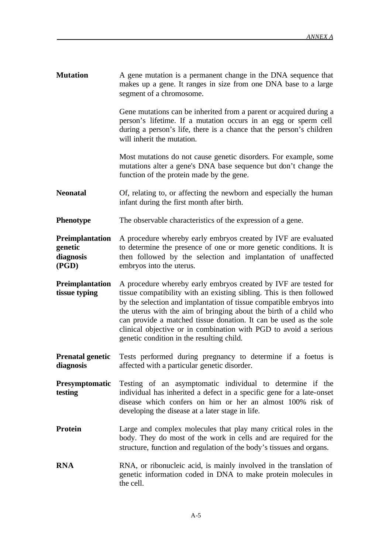**Mutation** A gene mutation is a permanent change in the DNA sequence that makes up a gene. It ranges in size from one DNA base to a large segment of a chromosome.

> Gene mutations can be inherited from a parent or acquired during a person's lifetime. If a mutation occurs in an egg or sperm cell during a person's life, there is a chance that the person's children will inherit the mutation.

> Most mutations do not cause genetic disorders. For example, some mutations alter a gene's DNA base sequence but don't change the function of the protein made by the gene.

- **Neonatal** Of, relating to, or affecting the newborn and especially the human infant during the first month after birth.
- **Phenotype** The observable characteristics of the expression of a gene.

**Preimplantation genetic diagnosis (PGD)** A procedure whereby early embryos created by IVF are evaluated to determine the presence of one or more genetic conditions. It is then followed by the selection and implantation of unaffected embryos into the uterus.

- **Preimplantation tissue typing** A procedure whereby early embryos created by IVF are tested for tissue compatibility with an existing sibling. This is then followed by the selection and implantation of tissue compatible embryos into the uterus with the aim of bringing about the birth of a child who can provide a matched tissue donation. It can be used as the sole clinical objective or in combination with PGD to avoid a serious genetic condition in the resulting child.
- **Prenatal genetic diagnosis** Tests performed during pregnancy to determine if a foetus is affected with a particular genetic disorder.
- **Presymptomatic testing** Testing of an asymptomatic individual to determine if the individual has inherited a defect in a specific gene for a late-onset disease which confers on him or her an almost 100% risk of developing the disease at a later stage in life.
- **Protein** Large and complex molecules that play many critical roles in the body. They do most of the work in cells and are required for the structure, function and regulation of the body's tissues and organs.
- **RNA** RNA, or ribonucleic acid, is mainly involved in the translation of genetic information coded in DNA to make protein molecules in the cell.